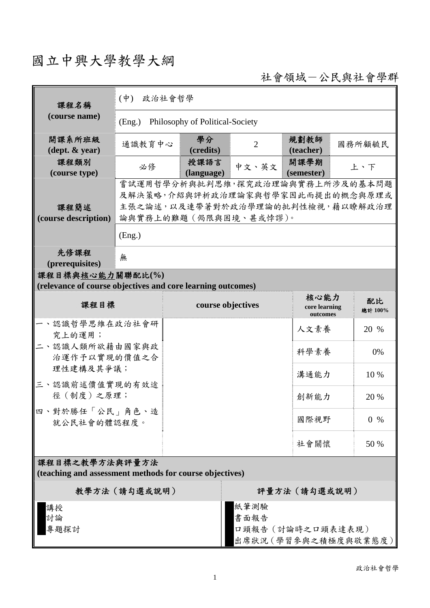## 國立中興大學教學大綱

社會領域-公民與社會學群

| 課程名稱                                                                                                                                   | $(\dot{\Psi})$<br>政治社會哲學                                                                                                           |                    |                |                                   |                      |  |
|----------------------------------------------------------------------------------------------------------------------------------------|------------------------------------------------------------------------------------------------------------------------------------|--------------------|----------------|-----------------------------------|----------------------|--|
| (course name)                                                                                                                          | Philosophy of Political-Society<br>(Eng.)                                                                                          |                    |                |                                   |                      |  |
| 開課系所班級<br>$(\text{dept.} \& \text{ year})$                                                                                             | 通識教育中心                                                                                                                             | 學分<br>(credits)    | $\overline{2}$ | 規劃教師<br>(teacher)                 | 國務所顧毓民               |  |
| 課程類別<br>(course type)                                                                                                                  | 必修                                                                                                                                 | 授課語言<br>(language) | 中文、英文          | 開課學期<br>(semester)                | 上、下                  |  |
| 課程簡述<br>(course description)                                                                                                           | 嘗試運用哲學分析與批判思維,探究政治理論與實務上所涉及的基本問題<br>及解決策略,介紹與評析政治理論家與哲學家因此而提出的概念與原理或<br>主張之論述,以及連帶著對於政治學理論的批判性檢視,藉以瞭解政治理<br>論與實務上的難題 (侷限與困境、甚或悖謬)。 |                    |                |                                   |                      |  |
|                                                                                                                                        | (Eng.)                                                                                                                             |                    |                |                                   |                      |  |
| 先修課程<br>(prerequisites)                                                                                                                | 無                                                                                                                                  |                    |                |                                   |                      |  |
| 課程目標與核心能力關聯配比(%)<br>(relevance of course objectives and core learning outcomes)                                                        |                                                                                                                                    |                    |                |                                   |                      |  |
| 課程目標                                                                                                                                   |                                                                                                                                    | course objectives  |                | 核心能力<br>core learning<br>outcomes | 配比<br>總計 100%        |  |
| 、認識哲學思維在政治社會研<br>究上的運用;<br>二、認識人類所欲藉由國家與政<br>治運作予以實現的價值之合<br>理性建構及其爭議;<br>三、認識前述價值實現的有效途<br>徑(制度)之原理;<br>四、對於勝任「公民」角色、造<br>就公民社會的體認程度。 |                                                                                                                                    |                    |                | 人文素養                              | 20 %                 |  |
|                                                                                                                                        |                                                                                                                                    |                    |                | 科學素養                              | 0%                   |  |
|                                                                                                                                        |                                                                                                                                    |                    |                | 溝通能力                              | 10 %                 |  |
|                                                                                                                                        |                                                                                                                                    |                    |                | 創新能力                              | 20 %                 |  |
|                                                                                                                                        |                                                                                                                                    |                    |                | 國際視野                              | $0 \frac{9}{6}$      |  |
|                                                                                                                                        |                                                                                                                                    |                    |                | 社會關懷                              | 50 %                 |  |
| 課程目標之教學方法與評量方法<br>(teaching and assessment methods for course objectives)                                                              |                                                                                                                                    |                    |                |                                   |                      |  |
| 教學方法 (請勾選或說明)                                                                                                                          |                                                                                                                                    |                    | 評量方法 (請勾選或說明)  |                                   |                      |  |
| 講授<br>討論<br>專題探討                                                                                                                       |                                                                                                                                    |                    | 紙筆測驗<br>書面報告   | 口頭報告 (討論時之口頭表達表現)                 | 出席狀況 (學習參與之積極度與敬業態度) |  |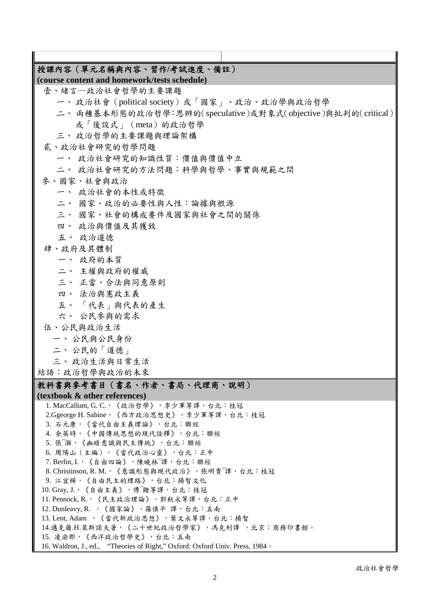| 授課內容 (單元名稱與內容、習作/考試進度、備註)                                                               |  |  |  |  |  |
|-----------------------------------------------------------------------------------------|--|--|--|--|--|
| (course content and homework/tests schedule)                                            |  |  |  |  |  |
| 壹、緒言一政治社會哲學的主要課題                                                                        |  |  |  |  |  |
| 一、政治社會 (political society) 或「國家」、政治、政治學與政治哲學                                            |  |  |  |  |  |
| 二、兩種基本形態的政治哲學:思辨的(speculative)或對象式(objective)與批判的(critical)                             |  |  |  |  |  |
| 或「後設式」 (meta) 的政治哲學                                                                     |  |  |  |  |  |
| 三、政治哲學的主要課題與理論架構                                                                        |  |  |  |  |  |
| 貳、政治社會研究的哲學問題                                                                           |  |  |  |  |  |
| 一、 政治社會研究的知識性質:價值與價值中立                                                                  |  |  |  |  |  |
|                                                                                         |  |  |  |  |  |
| 二、 政治社會研究的方法問題:科學與哲學、事實與規範之間                                                            |  |  |  |  |  |
| 參、國家、社會與政治                                                                              |  |  |  |  |  |
| 一、 政治社會的本性或特徵                                                                           |  |  |  |  |  |
| 二、 國家、政治的必要性與人性:論據與根源                                                                   |  |  |  |  |  |
| 三、 國家、社會的構成要件及國家與社會之間的關係                                                                |  |  |  |  |  |
| 四、 政治與價值及其獲致                                                                            |  |  |  |  |  |
| 五、 政治道德                                                                                 |  |  |  |  |  |
| 肆、政府及其體制                                                                                |  |  |  |  |  |
| 一、 政府的本質                                                                                |  |  |  |  |  |
| 二、 主權與政府的權威                                                                             |  |  |  |  |  |
| 三、 正當、合法與同意原則                                                                           |  |  |  |  |  |
| 四、 法治與憲政主義                                                                              |  |  |  |  |  |
| 五、「代表」與代表的產生                                                                            |  |  |  |  |  |
| 六、 公民參與的需求                                                                              |  |  |  |  |  |
| 伍、公民與政治生活                                                                               |  |  |  |  |  |
|                                                                                         |  |  |  |  |  |
| 一、公民與公民身份                                                                               |  |  |  |  |  |
| 二、公民的「道德」                                                                               |  |  |  |  |  |
| 三、政治生活與日常生活                                                                             |  |  |  |  |  |
| 結語:政治哲學與政治的未來                                                                           |  |  |  |  |  |
| 教科書與參考書目(書名、作者、書局、代理商、説明)                                                               |  |  |  |  |  |
| (textbook & other references)                                                           |  |  |  |  |  |
| 1. MacCallum, G. C., 《政治哲學》, 李少軍等譯, 台北: 桂冠                                              |  |  |  |  |  |
| 2.Ggeorge H. Sabine,《西方政治思想史》,李少軍等譯,台北:桂冠                                               |  |  |  |  |  |
| 3. 石元康,《當代自由主義理論》,台北:聯經<br>4. 余英時,《中國傳統思想的現代詮釋》,台北:聯經                                   |  |  |  |  |  |
| 5. 張 灝, 《幽暗意識與民主傳統》, 台北: 聯經                                                             |  |  |  |  |  |
| 6. 周陽山 (主編),《當代政治心靈》,台北:正中                                                              |  |  |  |  |  |
| 7. Berlin, I., 《自由四論》,陳曉林下譯, 台北:聯經                                                      |  |  |  |  |  |
| 8. Christinson, R. M., 《意識形態與現代政治》,張明貴。譯, 台北:桂冠                                         |  |  |  |  |  |
| 9. 江宜樺,《自由民主的理路》,台北:揚智文化                                                                |  |  |  |  |  |
| 10. Gray, J., 《自由主義》, 傅 鏗等譯, 台北: 桂冠                                                     |  |  |  |  |  |
| 11. Pennock, R., 《民主政治理論》, 郭秋永等譯, 台北: 正中                                                |  |  |  |  |  |
| 12. Dunleavy, R. , 《國家論》, 羅慎平 譯, 台北:五南                                                  |  |  |  |  |  |
| 13. Lent, Adam , 《當代新政治思想》, 葉文永等譯, 台北: 揚智<br>14.邁克爾.H.萊斯諾夫著,《二十世紀政治哲學家》,馮克利譯 ,北京:商務印書館。 |  |  |  |  |  |
| 15. 凌渝郎,《西洋政治哲學史》,台北:五南                                                                 |  |  |  |  |  |
| 16. Waldron, J., ed., "Theories of Right," Oxford: Oxford Univ. Press, 1984 .           |  |  |  |  |  |